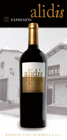

B O D E G A S V I Ñ A M A M B R I L L A S . L .

alidis